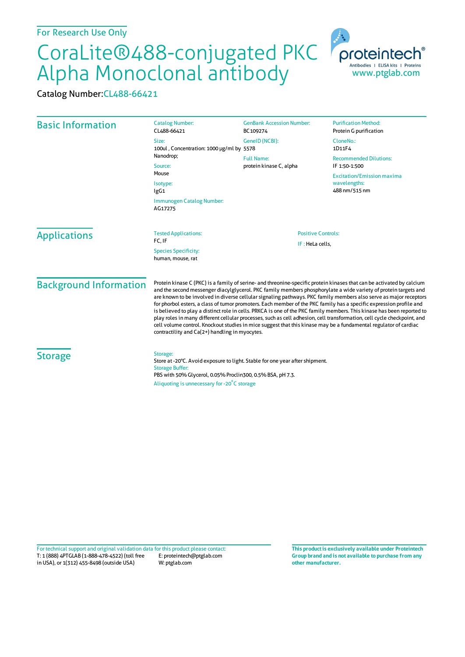## CoraLite®488-conjugated PKC Alpha Monoclonal antibody

Catalog Number:CL488-66421

| <b>Basic Information</b> | <b>Catalog Number:</b><br>CL488-66421                                                                                                                                                                                           | <b>GenBank Accession Number:</b><br>BC109274                   | <b>Purification Method:</b><br>Protein G purification                                                                                       |                                                                                                                                                                                                                                                                                                                                                                                                                                                                                                                                                                                                                                                                                                                                                                                                                                                                                                                 |                                                                                           |                                              |
|--------------------------|---------------------------------------------------------------------------------------------------------------------------------------------------------------------------------------------------------------------------------|----------------------------------------------------------------|---------------------------------------------------------------------------------------------------------------------------------------------|-----------------------------------------------------------------------------------------------------------------------------------------------------------------------------------------------------------------------------------------------------------------------------------------------------------------------------------------------------------------------------------------------------------------------------------------------------------------------------------------------------------------------------------------------------------------------------------------------------------------------------------------------------------------------------------------------------------------------------------------------------------------------------------------------------------------------------------------------------------------------------------------------------------------|-------------------------------------------------------------------------------------------|----------------------------------------------|
|                          | Size:<br>100ul, Concentration: 1000 µg/ml by 5578<br>Nanodrop;<br>Source:<br>Mouse<br>Isotype:<br>lgG1                                                                                                                          | GenelD (NCBI):<br><b>Full Name:</b><br>protein kinase C, alpha | CloneNo.:<br>1D11F4<br><b>Recommended Dilutions:</b><br>IF 1:50-1:500<br><b>Excitation/Emission maxima</b><br>wavelengths:<br>488 nm/515 nm |                                                                                                                                                                                                                                                                                                                                                                                                                                                                                                                                                                                                                                                                                                                                                                                                                                                                                                                 |                                                                                           |                                              |
|                          |                                                                                                                                                                                                                                 |                                                                |                                                                                                                                             | Immunogen Catalog Number:<br>AG17275                                                                                                                                                                                                                                                                                                                                                                                                                                                                                                                                                                                                                                                                                                                                                                                                                                                                            |                                                                                           |                                              |
|                          |                                                                                                                                                                                                                                 |                                                                |                                                                                                                                             | <b>Applications</b>                                                                                                                                                                                                                                                                                                                                                                                                                                                                                                                                                                                                                                                                                                                                                                                                                                                                                             | <b>Tested Applications:</b><br>FC, IF<br><b>Species Specificity:</b><br>human, mouse, rat | <b>Positive Controls:</b><br>IF: HeLa cells, |
|                          | <b>Background Information</b>                                                                                                                                                                                                   |                                                                |                                                                                                                                             | Protein kinase C (PKC) is a family of serine- and threonine-specific protein kinases that can be activated by calcium<br>and the second messenger diacylglycerol. PKC family members phosphorylate a wide variety of protein targets and<br>are known to be involved in diverse cellular signaling pathways. PKC family members also serve as major receptors<br>for phorbol esters, a class of tumor promoters. Each member of the PKC family has a specific expression profile and<br>is believed to play a distinct role in cells. PRKCA is one of the PKC family members. This kinase has been reported to<br>play roles in many different cellular processes, such as cell adhesion, cell transformation, cell cycle checkpoint, and<br>cell volume control. Knockout studies in mice suggest that this kinase may be a fundamental regulator of cardiac<br>contractility and Ca(2+) handling in myocytes. |                                                                                           |                                              |
| <b>Storage</b>           | Storage:<br>Store at -20°C. Avoid exposure to light. Stable for one year after shipment.<br><b>Storage Buffer:</b><br>PBS with 50% Glycerol, 0.05% Proclin300, 0.5% BSA, pH 7.3.<br>Aliquoting is unnecessary for -20°C storage |                                                                |                                                                                                                                             |                                                                                                                                                                                                                                                                                                                                                                                                                                                                                                                                                                                                                                                                                                                                                                                                                                                                                                                 |                                                                                           |                                              |

T: 1 (888) 4PTGLAB (1-888-478-4522) (toll free in USA), or 1(312) 455-8498 (outside USA) E: proteintech@ptglab.com W: ptglab.com Fortechnical support and original validation data forthis product please contact: **This productis exclusively available under Proteintech**

**Group brand and is not available to purchase from any other manufacturer.**

www.ptglab.com

proteintech Antibodies | ELISA kits | Proteins